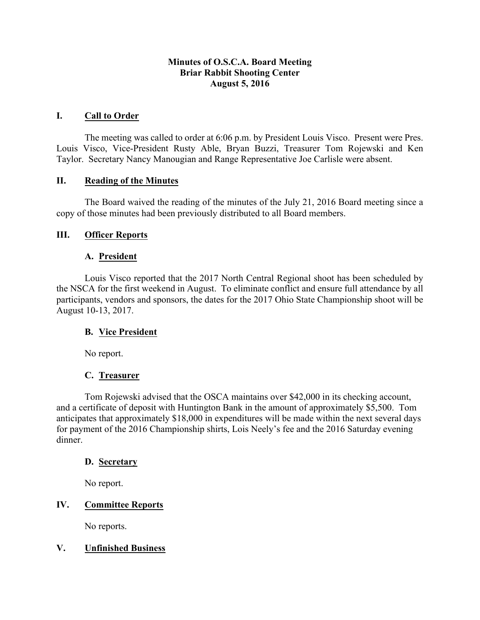### **Minutes of O.S.C.A. Board Meeting Briar Rabbit Shooting Center August 5, 2016**

#### **I. Call to Order**

The meeting was called to order at 6:06 p.m. by President Louis Visco. Present were Pres. Louis Visco, Vice-President Rusty Able, Bryan Buzzi, Treasurer Tom Rojewski and Ken Taylor. Secretary Nancy Manougian and Range Representative Joe Carlisle were absent.

#### **II. Reading of the Minutes**

The Board waived the reading of the minutes of the July 21, 2016 Board meeting since a copy of those minutes had been previously distributed to all Board members.

#### **III. Officer Reports**

### **A. President**

Louis Visco reported that the 2017 North Central Regional shoot has been scheduled by the NSCA for the first weekend in August. To eliminate conflict and ensure full attendance by all participants, vendors and sponsors, the dates for the 2017 Ohio State Championship shoot will be August 10-13, 2017.

#### **B. Vice President**

No report.

## **C. Treasurer**

Tom Rojewski advised that the OSCA maintains over \$42,000 in its checking account, and a certificate of deposit with Huntington Bank in the amount of approximately \$5,500. Tom anticipates that approximately \$18,000 in expenditures will be made within the next several days for payment of the 2016 Championship shirts, Lois Neely's fee and the 2016 Saturday evening dinner.

#### **D. Secretary**

No report.

## **IV. Committee Reports**

No reports.

## **V. Unfinished Business**